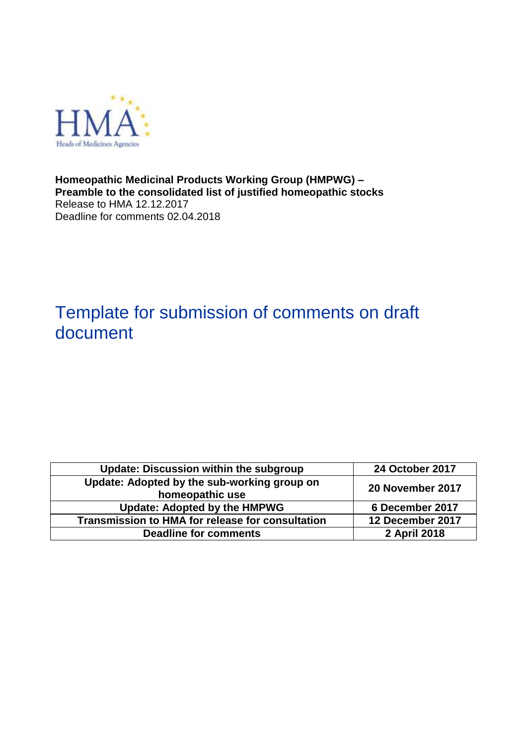

**Homeopathic Medicinal Products Working Group (HMPWG) – Preamble to the consolidated list of justified homeopathic stocks** Release to HMA 12.12.2017 Deadline for comments 02.04.2018

# Template for submission of comments on draft document

| <b>Update: Discussion within the subgroup</b>                                      | <b>24 October 2017</b> |  |
|------------------------------------------------------------------------------------|------------------------|--|
| Update: Adopted by the sub-working group on<br>20 November 2017<br>homeopathic use |                        |  |
| <b>Update: Adopted by the HMPWG</b>                                                | 6 December 2017        |  |
| <b>Transmission to HMA for release for consultation</b>                            | 12 December 2017       |  |
| <b>Deadline for comments</b>                                                       | 2 April 2018           |  |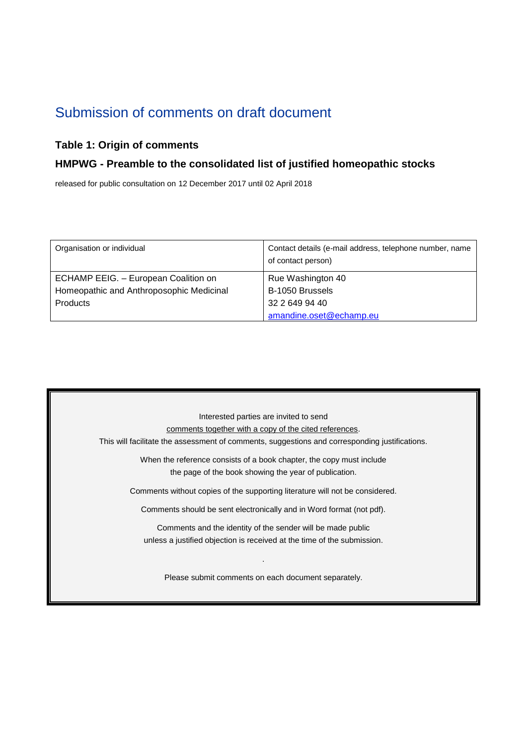# Submission of comments on draft document

## **Table 1: Origin of comments**

#### **HMPWG - Preamble to the consolidated list of justified homeopathic stocks**

released for public consultation on 12 December 2017 until 02 April 2018

| Organisation or individual               | Contact details (e-mail address, telephone number, name<br>of contact person) |
|------------------------------------------|-------------------------------------------------------------------------------|
| ECHAMP EEIG. - European Coalition on     | Rue Washington 40                                                             |
| Homeopathic and Anthroposophic Medicinal | B-1050 Brussels                                                               |
| <b>Products</b>                          | 32 2 649 94 40                                                                |
|                                          | amandine.oset@echamp.eu                                                       |

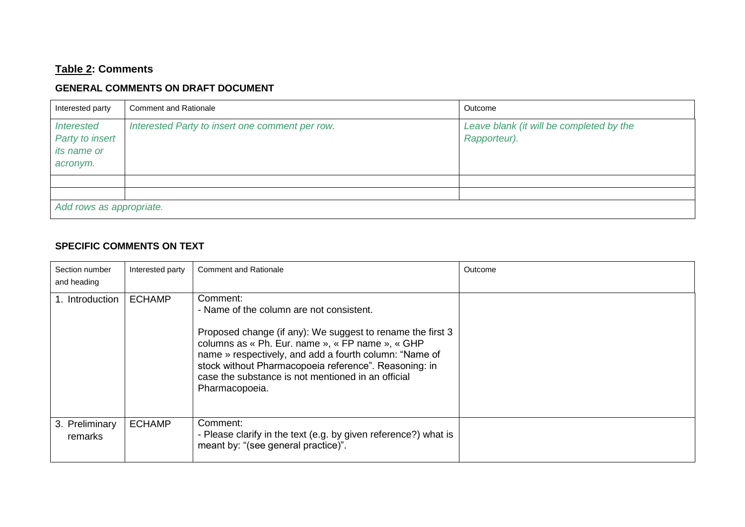# **Table 2: Comments**

## **GENERAL COMMENTS ON DRAFT DOCUMENT**

| Interested party                                                | <b>Comment and Rationale</b>                    | Outcome                                                  |  |
|-----------------------------------------------------------------|-------------------------------------------------|----------------------------------------------------------|--|
| <b>Interested</b><br>Party to insert<br>its name or<br>acronym. | Interested Party to insert one comment per row. | Leave blank (it will be completed by the<br>Rapporteur). |  |
|                                                                 |                                                 |                                                          |  |
|                                                                 |                                                 |                                                          |  |
| Add rows as appropriate.                                        |                                                 |                                                          |  |

#### **SPECIFIC COMMENTS ON TEXT**

| Section number<br>and heading | Interested party | <b>Comment and Rationale</b>                                                                                                                                                                                                                                                                                                                                      | Outcome |
|-------------------------------|------------------|-------------------------------------------------------------------------------------------------------------------------------------------------------------------------------------------------------------------------------------------------------------------------------------------------------------------------------------------------------------------|---------|
| 1. Introduction               | <b>ECHAMP</b>    | Comment:<br>- Name of the column are not consistent.<br>Proposed change (if any): We suggest to rename the first 3<br>columns as « Ph. Eur. name », « FP name », « GHP<br>name » respectively, and add a fourth column: "Name of<br>stock without Pharmacopoeia reference". Reasoning: in<br>case the substance is not mentioned in an official<br>Pharmacopoeia. |         |
| 3. Preliminary<br>remarks     | <b>ECHAMP</b>    | Comment:<br>- Please clarify in the text (e.g. by given reference?) what is<br>meant by: "(see general practice)".                                                                                                                                                                                                                                                |         |